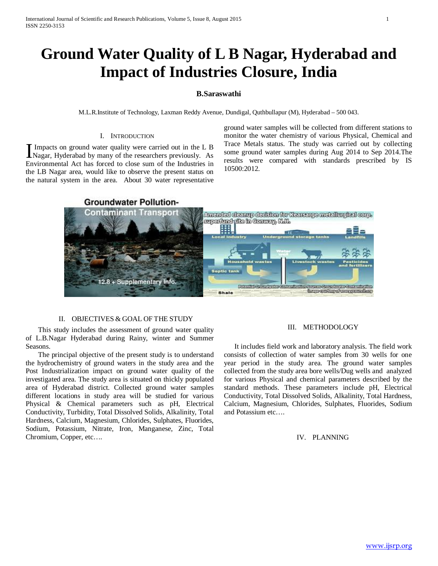# **Ground Water Quality of L B Nagar, Hyderabad and Impact of Industries Closure, India**

## **B.Saraswathi**

M.L.R.Institute of Technology, Laxman Reddy Avenue, Dundigal, Quthbullapur (M), Hyderabad – 500 043.

#### I. INTRODUCTION

Impacts on ground water quality were carried out in the L B Impacts on ground water quality were carried out in the L B<br>Nagar, Hyderabad by many of the researchers previously. As Environmental Act has forced to close sum of the Industries in the LB Nagar area, would like to observe the present status on the natural system in the area. About 30 water representative

ground water samples will be collected from different stations to monitor the water chemistry of various Physical, Chemical and Trace Metals status. The study was carried out by collecting some ground water samples during Aug 2014 to Sep 2014.The results were compared with standards prescribed by IS 10500:2012.

## **Groundwater Pollution-**



### II. OBJECTIVES & GOAL OF THE STUDY

 This study includes the assessment of ground water quality of L.B.Nagar Hyderabad during Rainy, winter and Summer Seasons.

 The principal objective of the present study is to understand the hydrochemistry of ground waters in the study area and the Post Industrialization impact on ground water quality of the investigated area. The study area is situated on thickly populated area of Hyderabad district. Collected ground water samples different locations in study area will be studied for various Physical & Chemical parameters such as pH, Electrical Conductivity, Turbidity, Total Dissolved Solids, Alkalinity, Total Hardness, Calcium, Magnesium, Chlorides, Sulphates, Fluorides, Sodium, Potassium, Nitrate, Iron, Manganese, Zinc, Total Chromium, Copper, etc….

## III. METHODOLOGY

 It includes field work and laboratory analysis. The field work consists of collection of water samples from 30 wells for one year period in the study area. The ground water samples collected from the study area bore wells/Dug wells and analyzed for various Physical and chemical parameters described by the standard methods. These parameters include pH, Electrical Conductivity, Total Dissolved Solids, Alkalinity, Total Hardness, Calcium, Magnesium, Chlorides, Sulphates, Fluorides, Sodium and Potassium etc….

### IV. PLANNING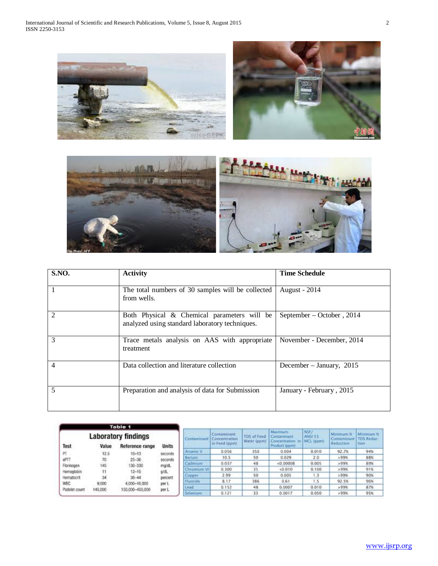



| <b>S.NO.</b>   | <b>Activity</b>                                                                               | <b>Time Schedule</b>       |
|----------------|-----------------------------------------------------------------------------------------------|----------------------------|
|                | The total numbers of 30 samples will be collected<br>from wells.                              | <b>August - 2014</b>       |
|                | Both Physical & Chemical parameters will be<br>analyzed using standard laboratory techniques. | September – October, 2014  |
| 3              | Trace metals analysis on AAS with appropriate<br>treatment                                    | November - December, 2014  |
| $\overline{4}$ | Data collection and literature collection                                                     | December – January, $2015$ |
| 5              | Preparation and analysis of data for Submission                                               | January - February, 2015   |

|                                                                                       |         | <b>Table 1</b>                                            |                                   |             |                                               |                            |                                                                    |                              |                                                    |                   |
|---------------------------------------------------------------------------------------|---------|-----------------------------------------------------------|-----------------------------------|-------------|-----------------------------------------------|----------------------------|--------------------------------------------------------------------|------------------------------|----------------------------------------------------|-------------------|
| <b>Laboratory findings</b><br><b>Units</b><br><b>Test</b><br>Value<br>Reference range |         |                                                           |                                   | Contaminant | Contaminant<br>Concentration<br>in Feed (ppm) | TDS of Feed<br>Water (ppm) | <b>Maximum</b><br>Contaminant<br>Concentration in<br>Product (ppm) | NSF/<br>ANSI 53<br>MCL (ppm) | Minimum %<br>Contaminant   TDS Reduc-<br>Reduction | Minimum %<br>tion |
|                                                                                       |         |                                                           |                                   | Arsenic V   | 0.056                                         | 350                        | 0.004                                                              | 0.010                        | 92.7%                                              | 94%               |
| PT                                                                                    | 12.5    | $10 - 13$                                                 | seconds                           |             |                                               |                            | 0.029                                                              |                              |                                                    |                   |
| aPTT                                                                                  | 70      | $25 - 36$                                                 | seconds                           | Barium      | 10.5                                          | 50                         |                                                                    | 2.0                          | >99%                                               | 88%               |
| Florinogen                                                                            | 145     | 130-330                                                   | ma'dL                             | Cadmium     | 0.037                                         | 48                         | < 0.00008                                                          | 0.005                        | >99%                                               | 89%               |
| Hemoglobin                                                                            |         | $12 - 15$<br>$36 - 44$<br>4.000-10.000<br>150,000-450,000 | o/d.<br>percent<br>per L<br>per L | Chromium VI | 0.300                                         | 35                         | 0.010                                                              | 0.100                        | >99%                                               | 91%               |
| Hematocrit                                                                            | 34      |                                                           |                                   | Copper      | 2.99                                          | 50                         | 0.005                                                              | 1.3                          | >99%                                               | 90%               |
| WBC                                                                                   | 9,000   |                                                           |                                   | Fluoride    | 8.17                                          | 386                        | 0.61                                                               | $-1.5$                       | 92.5%                                              | 96%               |
| Platelet count                                                                        | 145,000 |                                                           |                                   | Lead        | 0.152                                         | 48                         | 0.0007                                                             | 0.010                        | >99%                                               | 87%               |
|                                                                                       |         |                                                           |                                   | Selenium    | 0.121                                         | 33                         | 0.0017                                                             | 0.050                        | >99%                                               | 95%               |